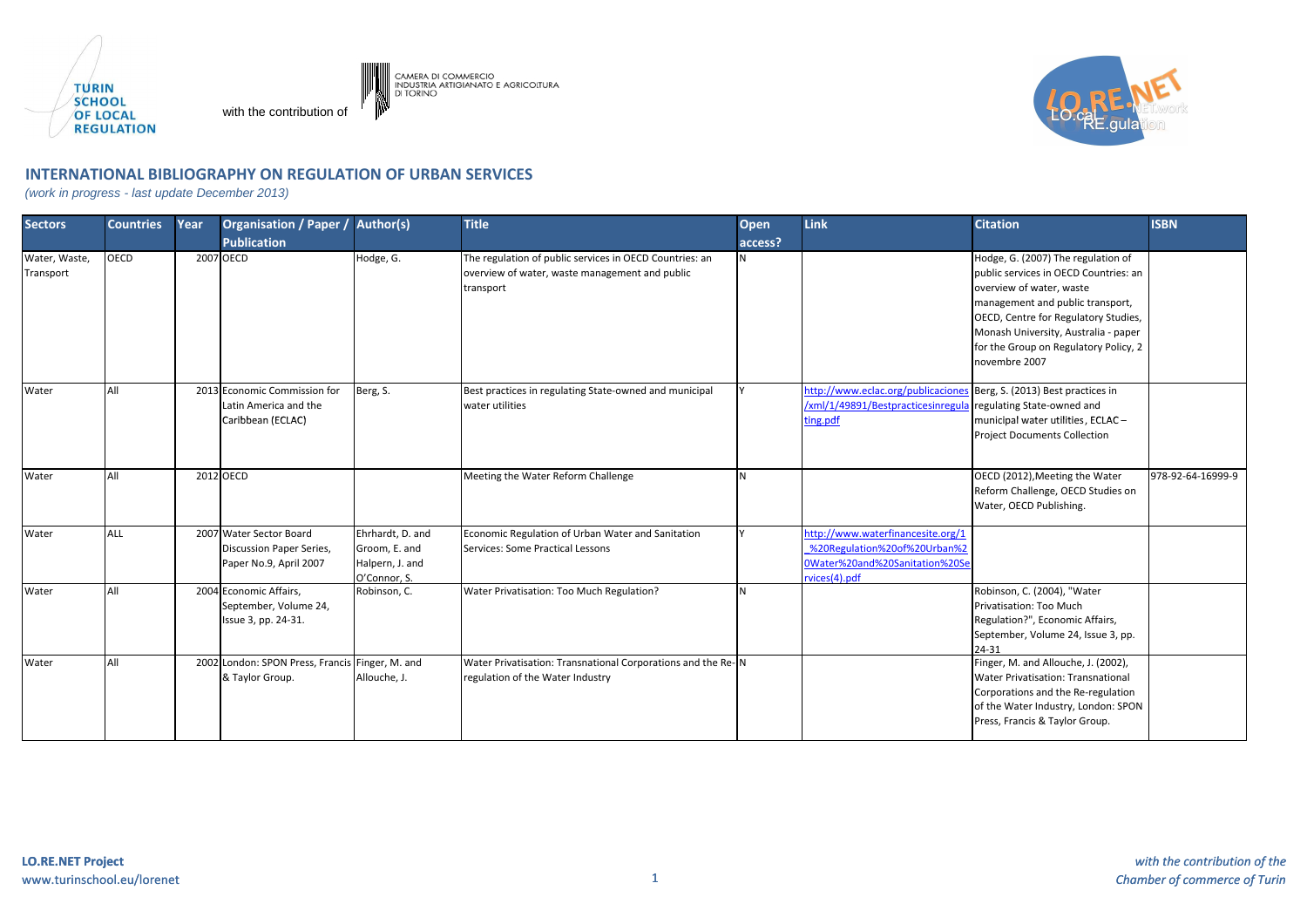

with the contribution of



## **INTERNATIONAL BIBLIOGRAPHY ON REGULATION OF URBAN SERVICES**

CAMERA DI COMMERCIO<br>INDUSTRIA ARTIGIANATO E AGRICOLTURA<br>DI TORINO

(work in progress - last update December 2013)

| <b>Sectors</b> | <b>Countries</b> | Year | Organisation / Paper / Author(s)                |                  | <b>Title</b>                                                 | <b>Open</b> | Link                                                                 | <b>Citation</b>                                                     | <b>ISBN</b>       |
|----------------|------------------|------|-------------------------------------------------|------------------|--------------------------------------------------------------|-------------|----------------------------------------------------------------------|---------------------------------------------------------------------|-------------------|
|                |                  |      | <b>Publication</b>                              |                  |                                                              | access?     |                                                                      |                                                                     |                   |
| Water, Waste,  | <b>OECD</b>      |      | 2007 OECD                                       | Hodge, G.        | The regulation of public services in OECD Countries: an      | N           |                                                                      | Hodge, G. (2007) The regulation of                                  |                   |
| Transport      |                  |      |                                                 |                  | overview of water, waste management and public               |             |                                                                      | public services in OECD Countries: an                               |                   |
|                |                  |      |                                                 |                  | transport                                                    |             |                                                                      | overview of water, waste                                            |                   |
|                |                  |      |                                                 |                  |                                                              |             |                                                                      | management and public transport,                                    |                   |
|                |                  |      |                                                 |                  |                                                              |             |                                                                      | OECD, Centre for Regulatory Studies,                                |                   |
|                |                  |      |                                                 |                  |                                                              |             |                                                                      | Monash University, Australia - paper                                |                   |
|                |                  |      |                                                 |                  |                                                              |             |                                                                      | for the Group on Regulatory Policy, 2                               |                   |
|                |                  |      |                                                 |                  |                                                              |             |                                                                      | novembre 2007                                                       |                   |
| Water          | All              |      | 2013 Economic Commission for                    | Berg, S.         | Best practices in regulating State-owned and municipal       |             | http://www.eclac.org/publicaciones Berg, S. (2013) Best practices in |                                                                     |                   |
|                |                  |      | Latin America and the                           |                  | water utilities                                              |             | /xml/1/49891/Bestpracticesinregula regulating State-owned and        |                                                                     |                   |
|                |                  |      | Caribbean (ECLAC)                               |                  |                                                              |             | ting.pdf                                                             | municipal water utilities, ECLAC -                                  |                   |
|                |                  |      |                                                 |                  |                                                              |             |                                                                      | <b>Project Documents Collection</b>                                 |                   |
|                | All              |      | 2012 OECD                                       |                  |                                                              | <b>N</b>    |                                                                      |                                                                     | 978-92-64-16999-9 |
| Water          |                  |      |                                                 |                  | Meeting the Water Reform Challenge                           |             |                                                                      | OECD (2012), Meeting the Water<br>Reform Challenge, OECD Studies on |                   |
|                |                  |      |                                                 |                  |                                                              |             |                                                                      | Water, OECD Publishing.                                             |                   |
| Water          | <b>ALL</b>       |      | 2007 Water Sector Board                         | Ehrhardt, D. and | Economic Regulation of Urban Water and Sanitation            |             | http://www.waterfinancesite.org/1                                    |                                                                     |                   |
|                |                  |      | <b>Discussion Paper Series,</b>                 | Groom, E. and    | Services: Some Practical Lessons                             |             | %20Regulation%20of%20Urban%2                                         |                                                                     |                   |
|                |                  |      | Paper No.9, April 2007                          | Halpern, J. and  |                                                              |             | 0Water%20and%20Sanitation%20Se                                       |                                                                     |                   |
|                |                  |      |                                                 | O'Connor, S.     |                                                              |             | rvices(4).pdf                                                        |                                                                     |                   |
| Water          | All              |      | 2004 Economic Affairs.                          | Robinson, C.     | Water Privatisation: Too Much Regulation?                    | N           |                                                                      | Robinson, C. (2004), "Water                                         |                   |
|                |                  |      | September, Volume 24,                           |                  |                                                              |             |                                                                      | Privatisation: Too Much                                             |                   |
|                |                  |      | Issue 3, pp. 24-31.                             |                  |                                                              |             |                                                                      | Regulation?", Economic Affairs,                                     |                   |
|                |                  |      |                                                 |                  |                                                              |             |                                                                      | September, Volume 24, Issue 3, pp.                                  |                   |
|                |                  |      |                                                 |                  |                                                              |             |                                                                      | 24-31                                                               |                   |
| Water          | All              |      | 2002 London: SPON Press, Francis Finger, M. and |                  | Water Privatisation: Transnational Corporations and the Re-N |             |                                                                      | Finger, M. and Allouche, J. (2002),                                 |                   |
|                |                  |      | & Taylor Group.                                 | Allouche, J.     | regulation of the Water Industry                             |             |                                                                      | Water Privatisation: Transnational                                  |                   |
|                |                  |      |                                                 |                  |                                                              |             |                                                                      | Corporations and the Re-regulation                                  |                   |
|                |                  |      |                                                 |                  |                                                              |             |                                                                      | of the Water Industry, London: SPON                                 |                   |
|                |                  |      |                                                 |                  |                                                              |             |                                                                      | Press, Francis & Taylor Group.                                      |                   |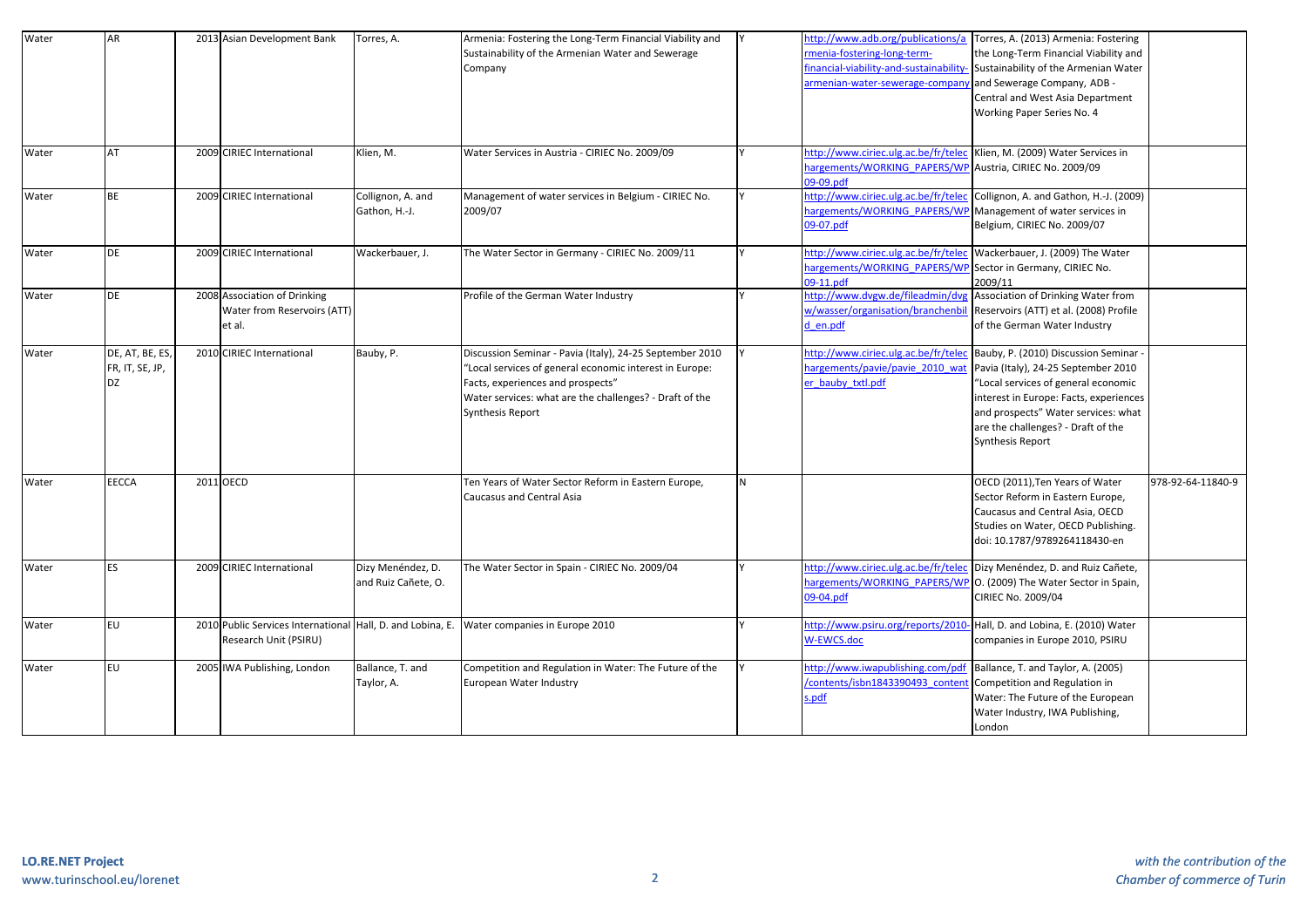| Water | AR                                       | 2013 Asian Development Bank                                                         | Torres, A.                               | Armenia: Fostering the Long-Term Financial Viability and<br>Sustainability of the Armenian Water and Sewerage<br>Company                                                                                                                |   | menia-fostering-long-term-<br>inancial-viability-and-sustainability<br>armenian-water-sewerage-compan                                              | http://www.adb.org/publications/a Torres, A. (2013) Armenia: Fostering<br>the Long-Term Financial Viability and<br>Sustainability of the Armenian Water<br>and Sewerage Company, ADB -<br>Central and West Asia Department<br>Working Paper Series No. 4     |                   |
|-------|------------------------------------------|-------------------------------------------------------------------------------------|------------------------------------------|-----------------------------------------------------------------------------------------------------------------------------------------------------------------------------------------------------------------------------------------|---|----------------------------------------------------------------------------------------------------------------------------------------------------|--------------------------------------------------------------------------------------------------------------------------------------------------------------------------------------------------------------------------------------------------------------|-------------------|
| Water | AT                                       | 2009 CIRIEC International                                                           | Klien, M.                                | Water Services in Austria - CIRIEC No. 2009/09                                                                                                                                                                                          |   | http://www.ciriec.ulg.ac.be/fr/telec   Klien, M. (2009) Water Services in<br>nargements/WORKING PAPERS/WP Austria, CIRIEC No. 2009/09<br>09-09.pdf |                                                                                                                                                                                                                                                              |                   |
| Water | BE                                       | 2009 CIRIEC International                                                           | Collignon, A. and<br>Gathon, H.-J.       | Management of water services in Belgium - CIRIEC No.<br>2009/07                                                                                                                                                                         |   | http://www.ciriec.ulg.ac.be/fr/telec<br>nargements/WORKING PAPERS/WP Management of water services in<br>09-07.pdf                                  | Collignon, A. and Gathon, H.-J. (2009)<br>Belgium, CIRIEC No. 2009/07                                                                                                                                                                                        |                   |
| Water | <b>DE</b>                                | 2009 CIRIEC International                                                           | Wackerbauer, J.                          | The Water Sector in Germany - CIRIEC No. 2009/11                                                                                                                                                                                        |   | http://www.ciriec.ulg.ac.be/fr/telec<br>nargements/WORKING PAPERS/WI<br>09-11.pdf                                                                  | Wackerbauer, J. (2009) The Water<br>Sector in Germany, CIRIEC No.<br>2009/11                                                                                                                                                                                 |                   |
| Water | DE                                       | 2008 Association of Drinking<br>Water from Reservoirs (ATT)<br>et al.               |                                          | Profile of the German Water Industry                                                                                                                                                                                                    |   | http://www.dvgw.de/fileadmin/dv<br>w/wasser/organisation/branchenbi<br>d en.pdf                                                                    | Association of Drinking Water from<br>Reservoirs (ATT) et al. (2008) Profile<br>of the German Water Industry                                                                                                                                                 |                   |
| Water | DE, AT, BE, ES,<br>FR, IT, SE, JP,<br>DZ | 2010 CIRIEC International                                                           | Bauby, P.                                | Discussion Seminar - Pavia (Italy), 24-25 September 2010<br>'Local services of general economic interest in Europe:<br>Facts, experiences and prospects"<br>Water services: what are the challenges? - Draft of the<br>Synthesis Report |   | nttp://www.ciriec.ulg.ac.be/fr/tele<br>nargements/pavie/pavie 2010 wa<br>er bauby txtl.pdf                                                         | Bauby, P. (2010) Discussion Seminar<br>Pavia (Italy), 24-25 September 2010<br>"Local services of general economic<br>interest in Europe: Facts, experiences<br>and prospects" Water services: what<br>are the challenges? - Draft of the<br>Synthesis Report |                   |
| Water | EECCA                                    | 2011 OECD                                                                           |                                          | Ten Years of Water Sector Reform in Eastern Europe,<br>Caucasus and Central Asia                                                                                                                                                        | N |                                                                                                                                                    | OECD (2011), Ten Years of Water<br>Sector Reform in Eastern Europe,<br>Caucasus and Central Asia, OECD<br>Studies on Water, OECD Publishing.<br>doi: 10.1787/9789264118430-en                                                                                | 978-92-64-11840-9 |
| Water | <b>ES</b>                                | 2009 CIRIEC International                                                           | Dizy Menéndez, D.<br>and Ruiz Cañete, O. | The Water Sector in Spain - CIRIEC No. 2009/04                                                                                                                                                                                          |   | http://www.ciriec.ulg.ac.be/fr/telec<br>09-04.pdf                                                                                                  | Dizy Menéndez, D. and Ruiz Cañete,<br>nargements/WORKING PAPERS/WP O. (2009) The Water Sector in Spain,<br>CIRIEC No. 2009/04                                                                                                                                |                   |
| Water | EU                                       | 2010 Public Services International Hall, D. and Lobina, E.<br>Research Unit (PSIRU) |                                          | Water companies in Europe 2010                                                                                                                                                                                                          |   | http://www.psiru.org/reports/2010<br>W-EWCS.doc                                                                                                    | Hall, D. and Lobina, E. (2010) Water<br>companies in Europe 2010, PSIRU                                                                                                                                                                                      |                   |
| Water | EU                                       | 2005 IWA Publishing, London                                                         | Ballance, T. and<br>Taylor, A.           | Competition and Regulation in Water: The Future of the<br>European Water Industry                                                                                                                                                       |   | http://www.iwapublishing.com/pdf<br>contents/isbn1843390493 conten<br>s.pdf                                                                        | Ballance, T. and Taylor, A. (2005)<br>Competition and Regulation in<br>Water: The Future of the European<br>Water Industry, IWA Publishing,<br>London                                                                                                        |                   |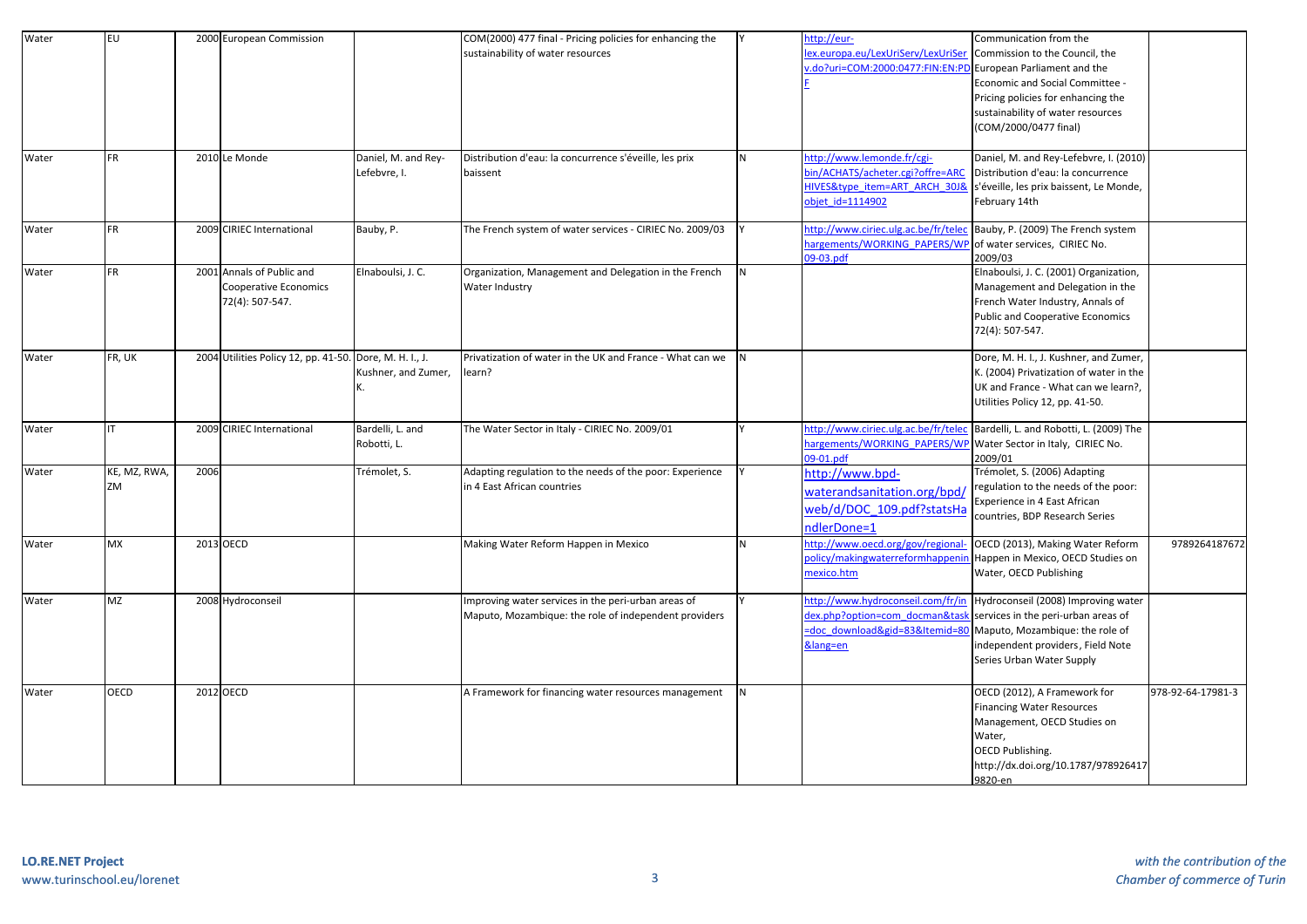| Water | <b>EU</b>    |      | 2000 European Commission                                |                     | COM(2000) 477 final - Pricing policies for enhancing the  |   | ttp://eur-                                                     | Communication from the                                                       |                   |
|-------|--------------|------|---------------------------------------------------------|---------------------|-----------------------------------------------------------|---|----------------------------------------------------------------|------------------------------------------------------------------------------|-------------------|
|       |              |      |                                                         |                     | sustainability of water resources                         |   | ex.europa.eu/LexUriServ/LexUriSe                               | Commission to the Council, the                                               |                   |
|       |              |      |                                                         |                     |                                                           |   | do?uri=COM:2000:0477:FIN:EN:PI                                 | European Parliament and the                                                  |                   |
|       |              |      |                                                         |                     |                                                           |   |                                                                | Economic and Social Committee -                                              |                   |
|       |              |      |                                                         |                     |                                                           |   |                                                                | Pricing policies for enhancing the                                           |                   |
|       |              |      |                                                         |                     |                                                           |   |                                                                | sustainability of water resources                                            |                   |
|       |              |      |                                                         |                     |                                                           |   |                                                                | (COM/2000/0477 final)                                                        |                   |
|       |              |      |                                                         |                     |                                                           |   |                                                                |                                                                              |                   |
| Water | FR.          |      | 2010 Le Monde                                           | Daniel, M. and Rey- | Distribution d'eau: la concurrence s'éveille, les prix    | N | http://www.lemonde.fr/cgi-                                     | Daniel, M. and Rey-Lefebvre, I. (2010)                                       |                   |
|       |              |      |                                                         | Lefebvre, I.        | baissent                                                  |   | oin/ACHATS/acheter.cgi?offre=ARC                               | Distribution d'eau: la concurrence                                           |                   |
|       |              |      |                                                         |                     |                                                           |   |                                                                | HIVES&type item=ART ARCH 30J& s'éveille, les prix baissent, Le Monde,        |                   |
|       |              |      |                                                         |                     |                                                           |   | objet id=1114902                                               | February 14th                                                                |                   |
|       |              |      |                                                         |                     |                                                           |   |                                                                |                                                                              |                   |
| Water | FR.          |      | 2009 CIRIEC International                               | Bauby, P.           | The French system of water services - CIRIEC No. 2009/03  |   | nttp://www.ciriec.ulg.ac.be/fr/tele                            | Bauby, P. (2009) The French system                                           |                   |
|       |              |      |                                                         |                     |                                                           |   | nargements/WORKING PAPERS/WF                                   | of water services, CIRIEC No.                                                |                   |
|       |              |      |                                                         |                     |                                                           |   | 09-03.pdf                                                      | 2009/03                                                                      |                   |
| Water | FR           |      | 2001 Annals of Public and                               | Elnaboulsi, J. C.   | Organization, Management and Delegation in the French     | N |                                                                | Elnaboulsi, J. C. (2001) Organization,                                       |                   |
|       |              |      | Cooperative Economics                                   |                     | Water Industry                                            |   |                                                                | Management and Delegation in the                                             |                   |
|       |              |      | 72(4): 507-547.                                         |                     |                                                           |   |                                                                | French Water Industry, Annals of                                             |                   |
|       |              |      |                                                         |                     |                                                           |   |                                                                | <b>Public and Cooperative Economics</b>                                      |                   |
|       |              |      |                                                         |                     |                                                           |   |                                                                | 72(4): 507-547.                                                              |                   |
|       |              |      |                                                         |                     |                                                           |   |                                                                |                                                                              |                   |
| Water | FR, UK       |      | 2004 Utilities Policy 12, pp. 41-50. Dore, M. H. I., J. |                     | Privatization of water in the UK and France - What can we | N |                                                                | Dore, M. H. I., J. Kushner, and Zumer,                                       |                   |
|       |              |      |                                                         | Kushner, and Zumer, | learn?                                                    |   |                                                                | K. (2004) Privatization of water in the                                      |                   |
|       |              |      |                                                         |                     |                                                           |   |                                                                | UK and France - What can we learn?,                                          |                   |
|       |              |      |                                                         |                     |                                                           |   |                                                                | Utilities Policy 12, pp. 41-50.                                              |                   |
| Water |              |      | 2009 CIRIEC International                               | Bardelli, L. and    | The Water Sector in Italy - CIRIEC No. 2009/01            |   |                                                                | http://www.ciriec.ulg.ac.be/fr/telec Bardelli, L. and Robotti, L. (2009) The |                   |
|       |              |      |                                                         | Robotti, L.         |                                                           |   | nargements/WORKING PAPERS/WP Water Sector in Italy, CIRIEC No. |                                                                              |                   |
|       |              |      |                                                         |                     |                                                           |   | 09-01.pdf                                                      | 2009/01                                                                      |                   |
| Water | KE, MZ, RWA, | 2006 |                                                         | Trémolet, S.        | Adapting regulation to the needs of the poor: Experience  |   | http://www.bpd-                                                | Trémolet, S. (2006) Adapting                                                 |                   |
|       | ZM           |      |                                                         |                     | in 4 East African countries                               |   |                                                                | regulation to the needs of the poor:                                         |                   |
|       |              |      |                                                         |                     |                                                           |   | waterandsanitation.org/bpd                                     | Experience in 4 East African                                                 |                   |
|       |              |      |                                                         |                     |                                                           |   | web/d/DOC 109.pdf?statsHa                                      |                                                                              |                   |
|       |              |      |                                                         |                     |                                                           |   | ndlerDone=1                                                    | countries, BDP Research Series                                               |                   |
| Water | <b>MX</b>    |      | 2013 OECD                                               |                     | Making Water Reform Happen in Mexico                      | N | ittp://www.oecd.org/gov/regiona                                | OECD (2013), Making Water Reform                                             | 9789264187672     |
|       |              |      |                                                         |                     |                                                           |   | oolicy/makingwaterreformhappen                                 | Happen in Mexico, OECD Studies on                                            |                   |
|       |              |      |                                                         |                     |                                                           |   | nexico.htm                                                     | Water, OECD Publishing                                                       |                   |
|       |              |      |                                                         |                     |                                                           |   |                                                                |                                                                              |                   |
| Water | <b>MZ</b>    |      | 2008 Hydroconseil                                       |                     | Improving water services in the peri-urban areas of       |   | nttp://www.hydroconseil.com/fr/ir                              | Hydroconseil (2008) Improving water                                          |                   |
|       |              |      |                                                         |                     | Maputo, Mozambique: the role of independent providers     |   | dex.php?option=com_docman&tas                                  | services in the peri-urban areas of                                          |                   |
|       |              |      |                                                         |                     |                                                           |   | doc download&gid=83&Itemid=8                                   | Maputo, Mozambique: the role of                                              |                   |
|       |              |      |                                                         |                     |                                                           |   | ⟨=en                                                           | independent providers, Field Note                                            |                   |
|       |              |      |                                                         |                     |                                                           |   |                                                                | Series Urban Water Supply                                                    |                   |
|       |              |      |                                                         |                     |                                                           |   |                                                                |                                                                              |                   |
| Water | <b>OECD</b>  |      | 2012 OECD                                               |                     | A Framework for financing water resources management      | N |                                                                | OECD (2012), A Framework for                                                 | 978-92-64-17981-3 |
|       |              |      |                                                         |                     |                                                           |   |                                                                | <b>Financing Water Resources</b>                                             |                   |
|       |              |      |                                                         |                     |                                                           |   |                                                                | Management, OECD Studies on                                                  |                   |
|       |              |      |                                                         |                     |                                                           |   |                                                                | Water,                                                                       |                   |
|       |              |      |                                                         |                     |                                                           |   |                                                                | OECD Publishing.                                                             |                   |
|       |              |      |                                                         |                     |                                                           |   |                                                                | http://dx.doi.org/10.1787/978926417                                          |                   |
|       |              |      |                                                         |                     |                                                           |   |                                                                | 9820-en                                                                      |                   |
|       |              |      |                                                         |                     |                                                           |   |                                                                |                                                                              |                   |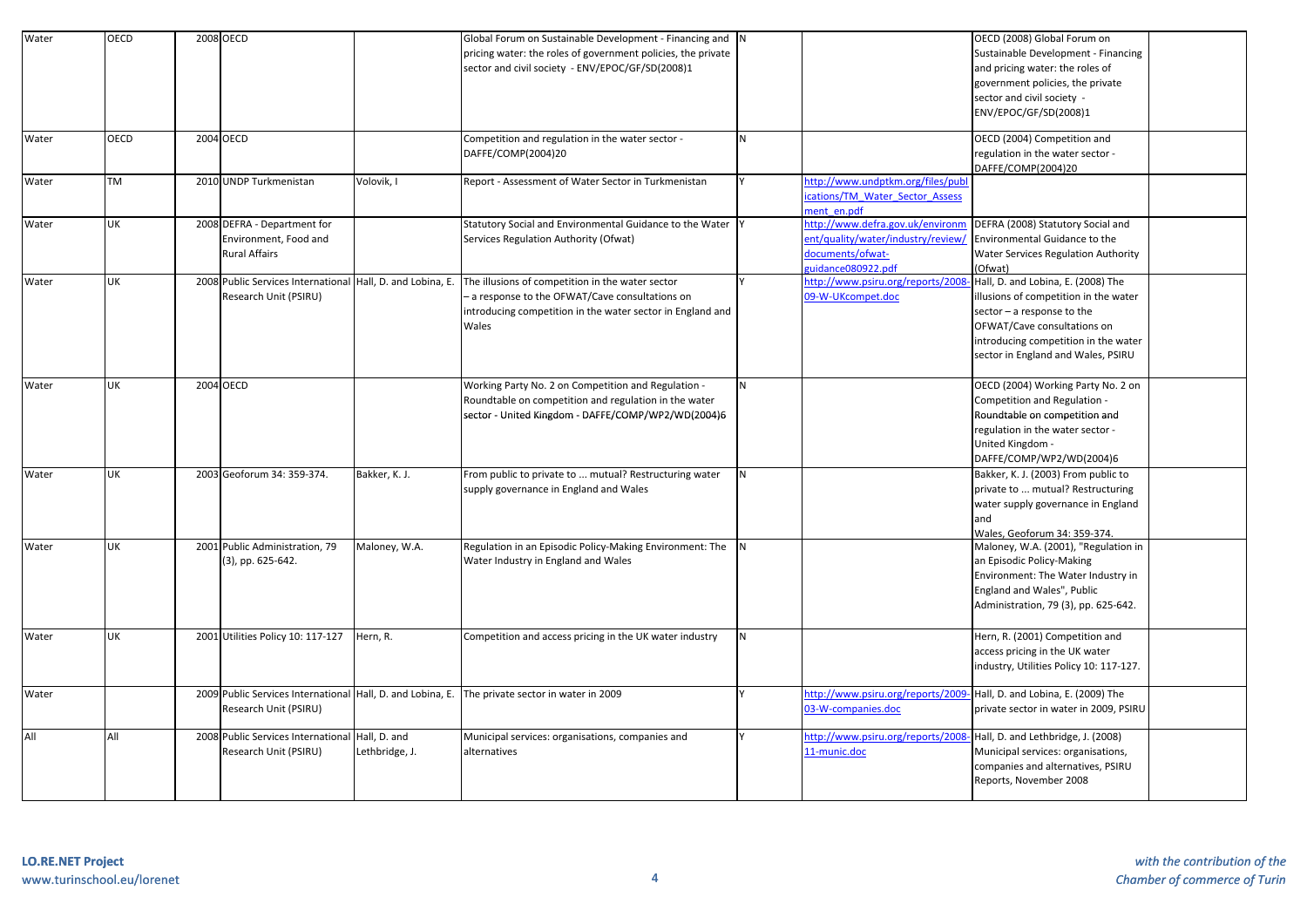| Water | <b>OECD</b> | 2008 OECD                                                  |                | Global Forum on Sustainable Development - Financing and N                                      |                |                                    | OECD (2008) Global Forum on             |  |
|-------|-------------|------------------------------------------------------------|----------------|------------------------------------------------------------------------------------------------|----------------|------------------------------------|-----------------------------------------|--|
|       |             |                                                            |                | pricing water: the roles of government policies, the private                                   |                |                                    | Sustainable Development - Financing     |  |
|       |             |                                                            |                | sector and civil society - ENV/EPOC/GF/SD(2008)1                                               |                |                                    | and pricing water: the roles of         |  |
|       |             |                                                            |                |                                                                                                |                |                                    | government policies, the private        |  |
|       |             |                                                            |                |                                                                                                |                |                                    | sector and civil society -              |  |
|       |             |                                                            |                |                                                                                                |                |                                    |                                         |  |
|       |             |                                                            |                |                                                                                                |                |                                    | ENV/EPOC/GF/SD(2008)1                   |  |
| Water | OECD        | 2004 OECD                                                  |                | Competition and regulation in the water sector -                                               | N              |                                    | OECD (2004) Competition and             |  |
|       |             |                                                            |                | DAFFE/COMP(2004)20                                                                             |                |                                    | regulation in the water sector -        |  |
|       |             |                                                            |                |                                                                                                |                |                                    | DAFFE/COMP(2004)20                      |  |
| Water | <b>TM</b>   | 2010 UNDP Turkmenistan                                     | Volovik, I     | Report - Assessment of Water Sector in Turkmenistan                                            |                | http://www.undptkm.org/files/pub   |                                         |  |
|       |             |                                                            |                |                                                                                                |                | cations/TM Water Sector Assess     |                                         |  |
|       |             |                                                            |                |                                                                                                |                | nent en.pdf                        |                                         |  |
| Water | UK          | 2008 DEFRA - Department for                                |                | Statutory Social and Environmental Guidance to the Water Y                                     |                | http://www.defra.gov.uk/environm   | DEFRA (2008) Statutory Social and       |  |
|       |             | Environment, Food and                                      |                | Services Regulation Authority (Ofwat)                                                          |                | ent/quality/water/industry/review/ | Environmental Guidance to the           |  |
|       |             | <b>Rural Affairs</b>                                       |                |                                                                                                |                | documents/ofwat-                   | Water Services Regulation Authority     |  |
|       |             |                                                            |                |                                                                                                |                | uidance080922.pdf                  | (Ofwat)                                 |  |
| Water | UK          | 2008 Public Services International Hall, D. and Lobina, E. |                | The illusions of competition in the water sector                                               |                | http://www.psiru.org/reports/200   | Hall, D. and Lobina, E. (2008) The      |  |
|       |             | Research Unit (PSIRU)                                      |                | - a response to the OFWAT/Cave consultations on                                                |                | 09-W-UKcompet.doc                  | illusions of competition in the water   |  |
|       |             |                                                            |                | introducing competition in the water sector in England and                                     |                |                                    | sector - a response to the              |  |
|       |             |                                                            |                | Wales                                                                                          |                |                                    | OFWAT/Cave consultations on             |  |
|       |             |                                                            |                |                                                                                                |                |                                    | introducing competition in the water    |  |
|       |             |                                                            |                |                                                                                                |                |                                    |                                         |  |
|       |             |                                                            |                |                                                                                                |                |                                    | sector in England and Wales, PSIRU      |  |
| Water | UK          | 2004 OECD                                                  |                | Working Party No. 2 on Competition and Regulation -                                            | N              |                                    | OECD (2004) Working Party No. 2 on      |  |
|       |             |                                                            |                | Roundtable on competition and regulation in the water                                          |                |                                    | Competition and Regulation -            |  |
|       |             |                                                            |                |                                                                                                |                |                                    |                                         |  |
|       |             |                                                            |                | sector - United Kingdom - DAFFE/COMP/WP2/WD(2004)6                                             |                |                                    | Roundtable on competition and           |  |
|       |             |                                                            |                |                                                                                                |                |                                    | regulation in the water sector -        |  |
|       |             |                                                            |                |                                                                                                |                |                                    | United Kingdom -                        |  |
|       |             |                                                            |                |                                                                                                |                |                                    | DAFFE/COMP/WP2/WD(2004)6                |  |
| Water | <b>UK</b>   | 2003 Geoforum 34: 359-374.                                 | Bakker, K. J.  | From public to private to  mutual? Restructuring water                                         | N <sub>1</sub> |                                    | Bakker, K. J. (2003) From public to     |  |
|       |             |                                                            |                | supply governance in England and Wales                                                         |                |                                    | private to  mutual? Restructuring       |  |
|       |             |                                                            |                |                                                                                                |                |                                    | water supply governance in England      |  |
|       |             |                                                            |                |                                                                                                |                |                                    | and                                     |  |
|       |             |                                                            |                |                                                                                                |                |                                    | Wales, Geoforum 34: 359-374.            |  |
| Water | UK          | 2001 Public Administration, 79                             | Maloney, W.A.  | Regulation in an Episodic Policy-Making Environment: The                                       | <b>N</b>       |                                    | Maloney, W.A. (2001), "Regulation in    |  |
|       |             | (3), pp. 625-642.                                          |                | Water Industry in England and Wales                                                            |                |                                    | an Episodic Policy-Making               |  |
|       |             |                                                            |                |                                                                                                |                |                                    | Environment: The Water Industry in      |  |
|       |             |                                                            |                |                                                                                                |                |                                    | England and Wales", Public              |  |
|       |             |                                                            |                |                                                                                                |                |                                    | Administration, 79 (3), pp. 625-642.    |  |
|       |             |                                                            |                |                                                                                                |                |                                    |                                         |  |
| Water | UK          | 2001 Utilities Policy 10: 117-127                          | Hern, R.       | Competition and access pricing in the UK water industry                                        | N              |                                    | Hern, R. (2001) Competition and         |  |
|       |             |                                                            |                |                                                                                                |                |                                    | access pricing in the UK water          |  |
|       |             |                                                            |                |                                                                                                |                |                                    | industry, Utilities Policy 10: 117-127. |  |
|       |             |                                                            |                |                                                                                                |                |                                    |                                         |  |
| Water |             |                                                            |                | 2009 Public Services International Hall, D. and Lobina, E. The private sector in water in 2009 |                | http://www.psiru.org/reports/2009  | Hall, D. and Lobina, E. (2009) The      |  |
|       |             | Research Unit (PSIRU)                                      |                |                                                                                                |                | 03-W-companies.doc                 | private sector in water in 2009, PSIRU  |  |
| All   | All         | 2008 Public Services International                         | Hall, D. and   | Municipal services: organisations, companies and                                               |                | http://www.psiru.org/reports/200   | Hall, D. and Lethbridge, J. (2008)      |  |
|       |             | Research Unit (PSIRU)                                      | Lethbridge, J. | alternatives                                                                                   |                | 11-munic.doc                       | Municipal services: organisations,      |  |
|       |             |                                                            |                |                                                                                                |                |                                    | companies and alternatives, PSIRU       |  |
|       |             |                                                            |                |                                                                                                |                |                                    | Reports, November 2008                  |  |
|       |             |                                                            |                |                                                                                                |                |                                    |                                         |  |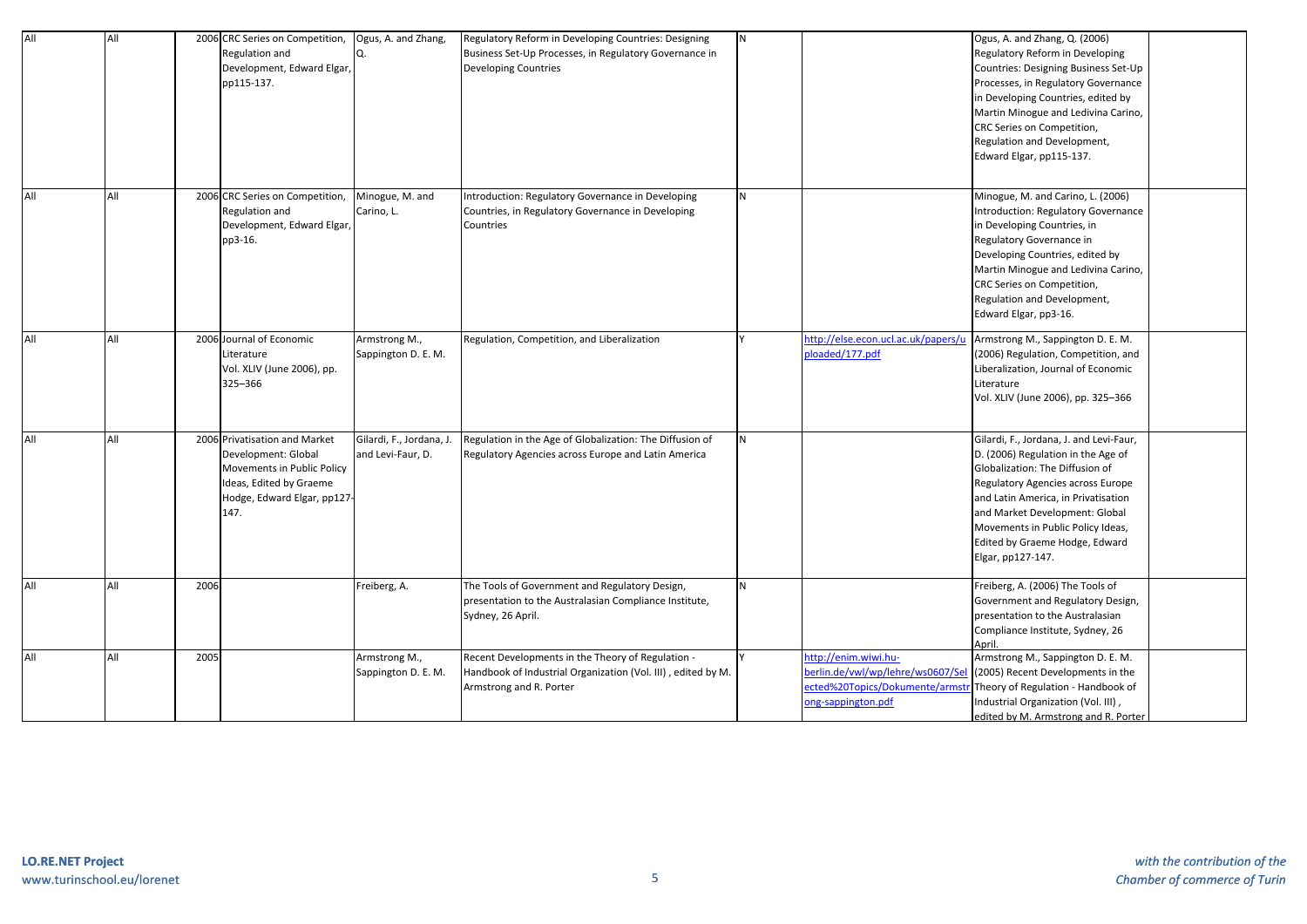| All | All |      | 2006 CRC Series on Competition,<br>Regulation and<br>Development, Edward Elgar<br>pp115-137.                                                        | Ogus, A. and Zhang,                           | Regulatory Reform in Developing Countries: Designing<br>Business Set-Up Processes, in Regulatory Governance in<br><b>Developing Countries</b> | N  |                                                                                                              | Ogus, A. and Zhang, Q. (2006)<br>Regulatory Reform in Developing<br>Countries: Designing Business Set-Up<br>Processes, in Regulatory Governance<br>in Developing Countries, edited by<br>Martin Minogue and Ledivina Carino,<br>CRC Series on Competition,<br>Regulation and Development,<br>Edward Elgar, pp115-137.      |  |
|-----|-----|------|-----------------------------------------------------------------------------------------------------------------------------------------------------|-----------------------------------------------|-----------------------------------------------------------------------------------------------------------------------------------------------|----|--------------------------------------------------------------------------------------------------------------|----------------------------------------------------------------------------------------------------------------------------------------------------------------------------------------------------------------------------------------------------------------------------------------------------------------------------|--|
| All | All |      | 2006 CRC Series on Competition,<br>Regulation and<br>Development, Edward Elgar,<br>pp3-16.                                                          | Minogue, M. and<br>Carino, L.                 | Introduction: Regulatory Governance in Developing<br>Countries, in Regulatory Governance in Developing<br>Countries                           | N  |                                                                                                              | Minogue, M. and Carino, L. (2006)<br>Introduction: Regulatory Governance<br>in Developing Countries, in<br>Regulatory Governance in<br>Developing Countries, edited by<br>Martin Minogue and Ledivina Carino,<br>CRC Series on Competition,<br>Regulation and Development,<br>Edward Elgar, pp3-16.                        |  |
| All | All |      | 2006 Journal of Economic<br>Literature<br>Vol. XLIV (June 2006), pp.<br>325–366                                                                     | Armstrong M.,<br>Sappington D. E. M.          | Regulation, Competition, and Liberalization                                                                                                   |    | ttp://else.econ.ucl.ac.uk/papers/u<br>ploaded/177.pdf                                                        | Armstrong M., Sappington D. E. M.<br>(2006) Regulation, Competition, and<br>Liberalization, Journal of Economic<br>Literature<br>Vol. XLIV (June 2006), pp. 325-366                                                                                                                                                        |  |
| All | All |      | 2006 Privatisation and Market<br>Development: Global<br>Movements in Public Policy<br>Ideas, Edited by Graeme<br>Hodge, Edward Elgar, pp127<br>147. | Gilardi, F., Jordana, J.<br>and Levi-Faur, D. | Regulation in the Age of Globalization: The Diffusion of<br>Regulatory Agencies across Europe and Latin America                               | N  |                                                                                                              | Gilardi, F., Jordana, J. and Levi-Faur,<br>D. (2006) Regulation in the Age of<br>Globalization: The Diffusion of<br>Regulatory Agencies across Europe<br>and Latin America, in Privatisation<br>and Market Development: Global<br>Movements in Public Policy Ideas,<br>Edited by Graeme Hodge, Edward<br>Elgar, pp127-147. |  |
| All | All | 2006 |                                                                                                                                                     | Freiberg, A.                                  | The Tools of Government and Regulatory Design,<br>presentation to the Australasian Compliance Institute,<br>Sydney, 26 April.                 | N. |                                                                                                              | Freiberg, A. (2006) The Tools of<br>Government and Regulatory Design,<br>presentation to the Australasian<br>Compliance Institute, Sydney, 26<br>April                                                                                                                                                                     |  |
| All | All | 2005 |                                                                                                                                                     | Armstrong M.,<br>Sappington D. E. M.          | Recent Developments in the Theory of Regulation -<br>Handbook of Industrial Organization (Vol. III), edited by M.<br>Armstrong and R. Porter  |    | ttp://enim.wiwi.hu-<br>erlin.de/vwl/wp/lehre/ws0607/Se<br>cted%20Topics/Dokumente/arms<br>ong-sappington.pdf | Armstrong M., Sappington D. E. M.<br>(2005) Recent Developments in the<br>Theory of Regulation - Handbook of<br>Industrial Organization (Vol. III),<br>edited by M. Armstrong and R. Porter                                                                                                                                |  |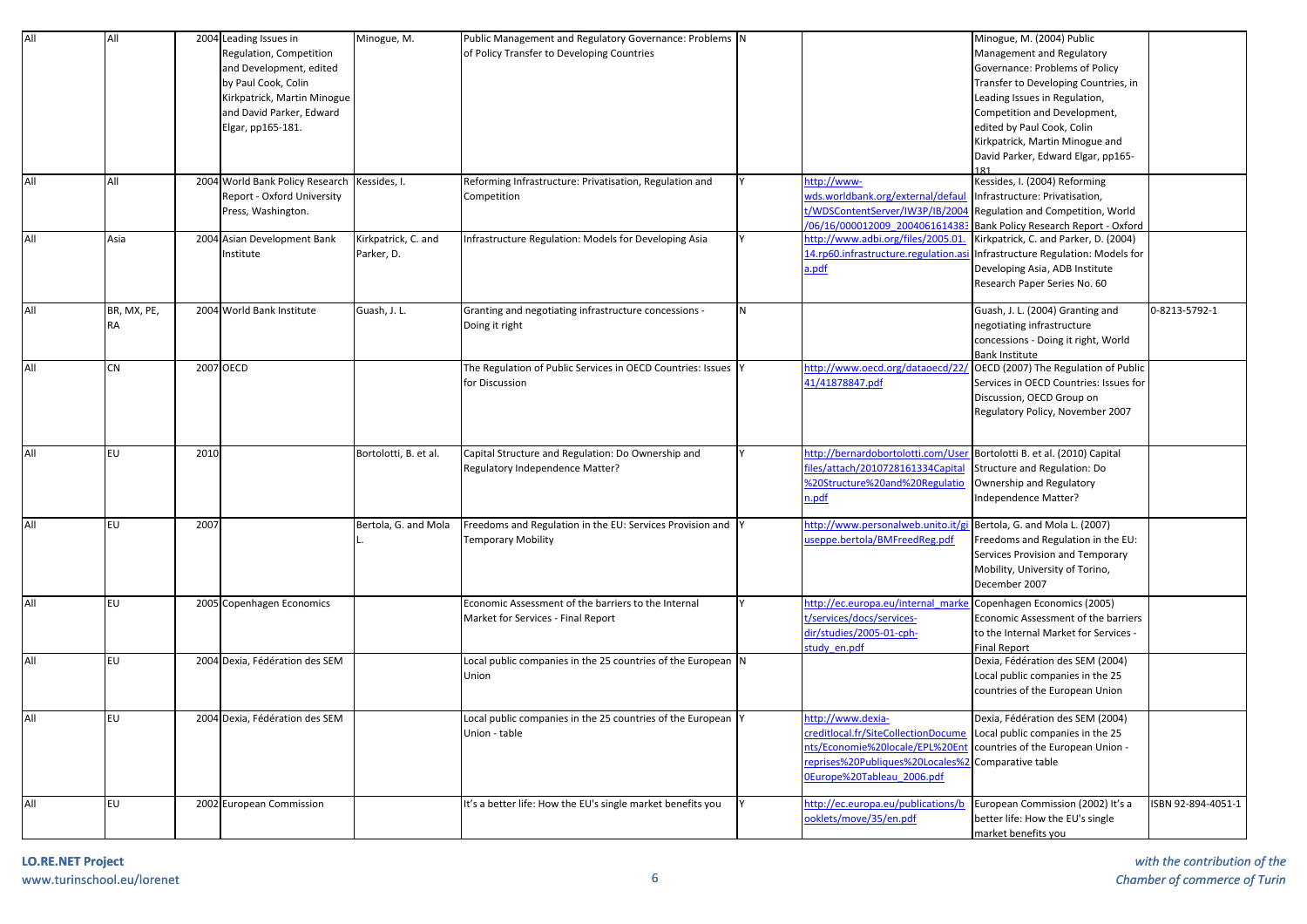| All | All         |      | 2004 Leading Issues in          | Minogue, M.           | Public Management and Regulatory Governance: Problems N       |              |                                      | Minogue, M. (2004) Public              |                    |
|-----|-------------|------|---------------------------------|-----------------------|---------------------------------------------------------------|--------------|--------------------------------------|----------------------------------------|--------------------|
|     |             |      | Regulation, Competition         |                       | of Policy Transfer to Developing Countries                    |              |                                      | Management and Regulatory              |                    |
|     |             |      | and Development, edited         |                       |                                                               |              |                                      | Governance: Problems of Policy         |                    |
|     |             |      | by Paul Cook, Colin             |                       |                                                               |              |                                      | Transfer to Developing Countries, in   |                    |
|     |             |      | Kirkpatrick, Martin Minogue     |                       |                                                               |              |                                      | Leading Issues in Regulation,          |                    |
|     |             |      | and David Parker, Edward        |                       |                                                               |              |                                      | Competition and Development,           |                    |
|     |             |      | Elgar, pp165-181.               |                       |                                                               |              |                                      | edited by Paul Cook, Colin             |                    |
|     |             |      |                                 |                       |                                                               |              |                                      | Kirkpatrick, Martin Minogue and        |                    |
|     |             |      |                                 |                       |                                                               |              |                                      | David Parker, Edward Elgar, pp165-     |                    |
|     |             |      |                                 |                       |                                                               |              |                                      |                                        |                    |
| All | All         |      | 2004 World Bank Policy Research | Kessides, I.          | Reforming Infrastructure: Privatisation, Regulation and       |              | ttp://www-                           | Kessides, I. (2004) Reforming          |                    |
|     |             |      | Report - Oxford University      |                       | Competition                                                   |              | wds.worldbank.org/external/defaul    | Infrastructure: Privatisation,         |                    |
|     |             |      | Press, Washington.              |                       |                                                               |              | t/WDSContentServer/IW3P/IB/2004      | Regulation and Competition, World      |                    |
|     |             |      |                                 |                       |                                                               |              | 06/16/000012009 200406161438         | Bank Policy Research Report - Oxford   |                    |
| All | Asia        |      | 2004 Asian Development Bank     | Kirkpatrick, C. and   | Infrastructure Regulation: Models for Developing Asia         |              | nttp://www.adbi.org/files/2005.01    | Kirkpatrick, C. and Parker, D. (2004)  |                    |
|     |             |      | nstitute                        | Parker, D.            |                                                               |              | 14.rp60.infrastructure.regulation.as | Infrastructure Regulation: Models for  |                    |
|     |             |      |                                 |                       |                                                               |              | a.pdf                                | Developing Asia, ADB Institute         |                    |
|     |             |      |                                 |                       |                                                               |              |                                      | Research Paper Series No. 60           |                    |
|     |             |      |                                 |                       |                                                               |              |                                      |                                        |                    |
| All | BR, MX, PE, |      | 2004 World Bank Institute       | Guash, J. L.          | Granting and negotiating infrastructure concessions -         | $\mathsf{N}$ |                                      | Guash, J. L. (2004) Granting and       | 0-8213-5792-1      |
|     | <b>RA</b>   |      |                                 |                       | Doing it right                                                |              |                                      | negotiating infrastructure             |                    |
|     |             |      |                                 |                       |                                                               |              |                                      | concessions - Doing it right, World    |                    |
|     |             |      |                                 |                       |                                                               |              |                                      | Bank Institute                         |                    |
| All | CN          |      | 2007 OECD                       |                       | The Regulation of Public Services in OECD Countries: Issues Y |              | http://www.oecd.org/dataoecd/22      | OECD (2007) The Regulation of Public   |                    |
|     |             |      |                                 |                       | for Discussion                                                |              | 41/41878847.pdf                      | Services in OECD Countries: Issues for |                    |
|     |             |      |                                 |                       |                                                               |              |                                      | Discussion, OECD Group on              |                    |
|     |             |      |                                 |                       |                                                               |              |                                      | Regulatory Policy, November 2007       |                    |
|     |             |      |                                 |                       |                                                               |              |                                      |                                        |                    |
|     |             |      |                                 |                       |                                                               |              |                                      |                                        |                    |
| All | <b>EU</b>   | 2010 |                                 | Bortolotti, B. et al. | Capital Structure and Regulation: Do Ownership and            |              | ittp://bernardobortolotti.com/Use    | Bortolotti B. et al. (2010) Capital    |                    |
|     |             |      |                                 |                       | Regulatory Independence Matter?                               |              | iles/attach/2010728161334 Capital    | Structure and Regulation: Do           |                    |
|     |             |      |                                 |                       |                                                               |              | %20Structure%20and%20Regulatio       | Ownership and Regulatory               |                    |
|     |             |      |                                 |                       |                                                               |              | .pdf                                 | Independence Matter?                   |                    |
|     |             |      |                                 |                       |                                                               |              |                                      |                                        |                    |
| All | <b>EU</b>   | 2007 |                                 | Bertola, G. and Mola  | Freedoms and Regulation in the EU: Services Provision and     |              | http://www.personalweb.unito.it/g    | Bertola, G. and Mola L. (2007)         |                    |
|     |             |      |                                 |                       | <b>Temporary Mobility</b>                                     |              | iseppe.bertola/BMFreedReg.pdf        | Freedoms and Regulation in the EU:     |                    |
|     |             |      |                                 |                       |                                                               |              |                                      | Services Provision and Temporary       |                    |
|     |             |      |                                 |                       |                                                               |              |                                      | Mobility, University of Torino,        |                    |
|     |             |      |                                 |                       |                                                               |              |                                      | December 2007                          |                    |
| All | <b>EU</b>   |      | 2005 Copenhagen Economics       |                       | Economic Assessment of the barriers to the Internal           |              | ittp://ec.europa.eu/internal_mark    | Copenhagen Economics (2005)            |                    |
|     |             |      |                                 |                       | Market for Services - Final Report                            |              | t/services/docs/services-            | Economic Assessment of the barriers    |                    |
|     |             |      |                                 |                       |                                                               |              | dir/studies/2005-01-cph-             | to the Internal Market for Services -  |                    |
|     |             |      |                                 |                       |                                                               |              | tudy en.pdf                          | <b>Final Report</b>                    |                    |
| All | EU          |      | 2004 Dexia, Fédération des SEM  |                       | Local public companies in the 25 countries of the European N  |              |                                      | Dexia, Fédération des SEM (2004)       |                    |
|     |             |      |                                 |                       | Union                                                         |              |                                      | Local public companies in the 25       |                    |
|     |             |      |                                 |                       |                                                               |              |                                      | countries of the European Union        |                    |
|     |             |      |                                 |                       |                                                               |              |                                      |                                        |                    |
| All | EU          |      | 2004 Dexia, Fédération des SEM  |                       | Local public companies in the 25 countries of the European Y  |              | ttp://www.dexia-                     | Dexia, Fédération des SEM (2004)       |                    |
|     |             |      |                                 |                       | Union - table                                                 |              | reditlocal.fr/SiteCollectionDocume   | Local public companies in the 25       |                    |
|     |             |      |                                 |                       |                                                               |              | nts/Economie%20locale/EPL%20En       | countries of the European Union -      |                    |
|     |             |      |                                 |                       |                                                               |              | eprises%20Publiques%20Locales%2      | Comparative table                      |                    |
|     |             |      |                                 |                       |                                                               |              | Europe%20Tableau 2006.pdf            |                                        |                    |
|     |             |      |                                 |                       |                                                               |              |                                      |                                        |                    |
| All | <b>EU</b>   |      | 2002 European Commission        |                       | It's a better life: How the EU's single market benefits you   |              | ittp://ec.europa.eu/publications/b   | European Commission (2002) It's a      | ISBN 92-894-4051-1 |
|     |             |      |                                 |                       |                                                               |              | oklets/move/35/en.pdf                | better life: How the EU's single       |                    |
|     |             |      |                                 |                       |                                                               |              |                                      | market benefits you                    |                    |